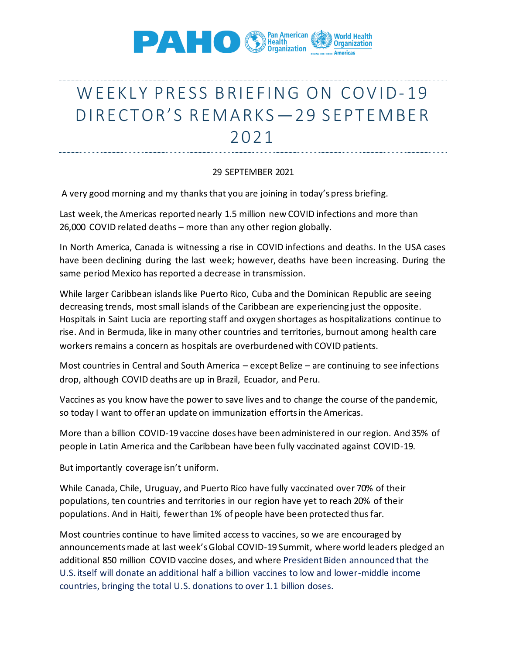

## WEEKLY PRESS BRIEFING ON COVID-19 DIRE CTOR'S REMARKS - 29 SEPTEMBER 2021

## 29 SEPTEMBER 2021

A very good morning and my thanks that you are joining in today's press briefing.

Last week, the Americas reported nearly 1.5 million new COVID infections and more than 26,000 COVID related deaths – more than any other region globally.

In North America, Canada is witnessing a rise in COVID infections and deaths. In the USA cases have been declining during the last week; however, deaths have been increasing. During the same period Mexico has reported a decrease in transmission.

While larger Caribbean islands like Puerto Rico, Cuba and the Dominican Republic are seeing decreasing trends, most small islands of the Caribbean are experiencing just the opposite. Hospitals in Saint Lucia are reporting staff and oxygen shortages as hospitalizations continue to rise. And in Bermuda, like in many other countries and territories, burnout among health care workers remains a concern as hospitals are overburdened with COVID patients.

Most countries in Central and South America – except Belize – are continuing to see infections drop, although COVID deaths are up in Brazil, Ecuador, and Peru.

Vaccines as you know have the power to save lives and to change the course of the pandemic, so today I want to offer an update on immunization efforts in the Americas.

More than a billion COVID-19 vaccine doses have been administered in our region. And 35% of people in Latin America and the Caribbean have been fully vaccinated against COVID-19.

But importantly coverage isn't uniform.

While Canada, Chile, Uruguay, and Puerto Rico have fully vaccinated over 70% of their populations, ten countries and territories in our region have yet to reach 20% of their populations. And in Haiti, fewer than 1% of people have been protected thus far.

Most countries continue to have limited access to vaccines, so we are encouraged by announcements made at last week's Global COVID-19 Summit, where world leaders pledged an additional 850 million COVID vaccine doses, and where President Biden announced that the U.S. itself will donate an additional half a billion vaccines to low and lower-middle income countries, bringing the total U.S. donations to over 1.1 billion doses.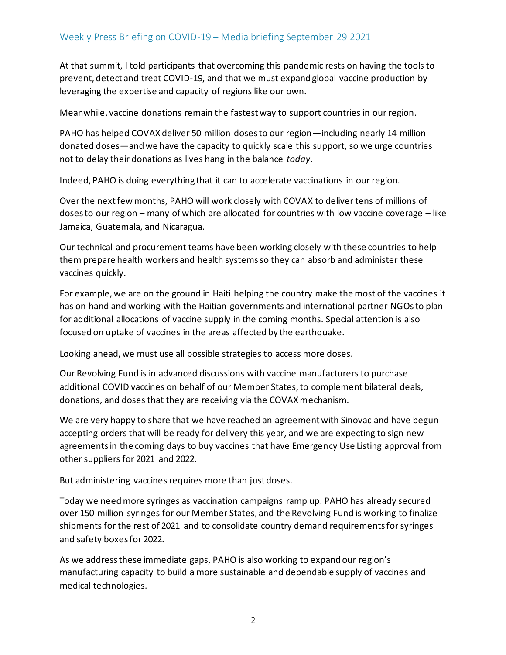At that summit, I told participants that overcoming this pandemic rests on having the tools to prevent, detect and treat COVID-19, and that we must expand global vaccine production by leveraging the expertise and capacity of regions like our own.

Meanwhile, vaccine donations remain the fastest way to support countries in our region.

PAHO has helped COVAX deliver 50 million doses to our region—including nearly 14 million donated doses—and we have the capacity to quickly scale this support, so we urge countries not to delay their donations as lives hang in the balance *today*.

Indeed, PAHO is doing everything that it can to accelerate vaccinations in our region.

Over the next few months, PAHO will work closely with COVAX to deliver tens of millions of doses to our region – many of which are allocated for countries with low vaccine coverage – like Jamaica, Guatemala, and Nicaragua.

Our technical and procurement teams have been working closely with these countries to help them prepare health workers and health systems so they can absorb and administer these vaccines quickly.

For example, we are on the ground in Haiti helping the country make the most of the vaccines it has on hand and working with the Haitian governments and international partner NGOs to plan for additional allocations of vaccine supply in the coming months. Special attention is also focused on uptake of vaccines in the areas affected by the earthquake.

Looking ahead, we must use all possible strategies to access more doses.

Our Revolving Fund is in advanced discussions with vaccine manufacturers to purchase additional COVID vaccines on behalf of our Member States, to complement bilateral deals, donations, and doses that they are receiving via the COVAX mechanism.

We are very happy to share that we have reached an agreement with Sinovac and have begun accepting orders that will be ready for delivery this year, and we are expecting to sign new agreements in the coming days to buy vaccines that have Emergency Use Listing approval from other suppliers for 2021 and 2022.

But administering vaccines requires more than just doses.

Today we need more syringes as vaccination campaigns ramp up. PAHO has already secured over 150 million syringes for our Member States, and the Revolving Fund is working to finalize shipments for the rest of 2021 and to consolidate country demand requirements for syringes and safety boxes for 2022.

As we address these immediate gaps, PAHO is also working to expand our region's manufacturing capacity to build a more sustainable and dependable supply of vaccines and medical technologies.